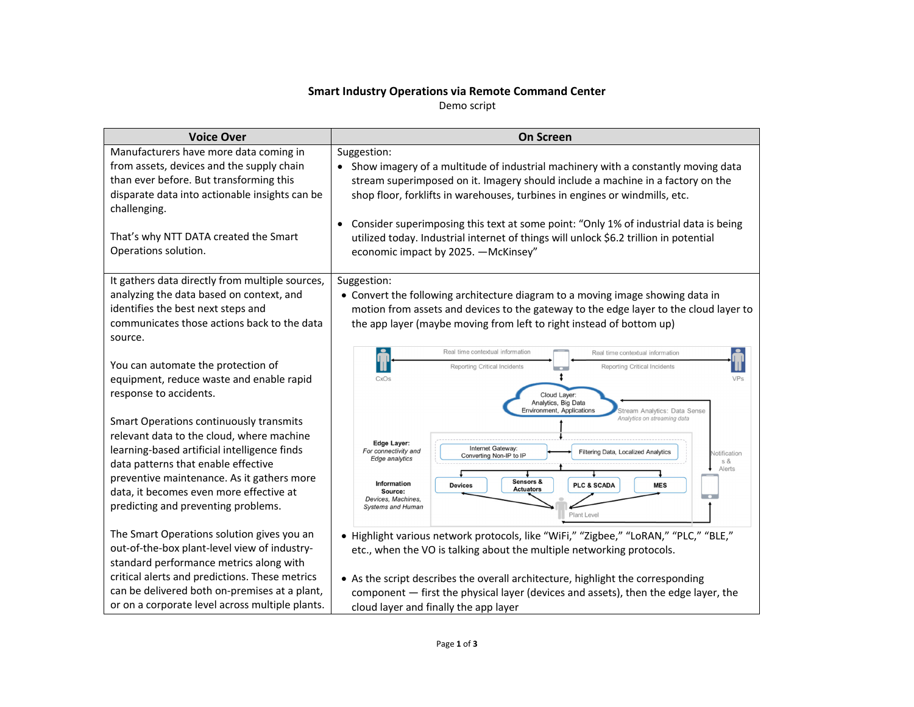## **Smart Industry Operations via Remote Command Center**

Demo script

| <b>Voice Over</b>                                                                                                                                                                                                                                                                                           | <b>On Screen</b>                                                                                                                                                                                                                                                                                                                                                                                                                                                                            |  |
|-------------------------------------------------------------------------------------------------------------------------------------------------------------------------------------------------------------------------------------------------------------------------------------------------------------|---------------------------------------------------------------------------------------------------------------------------------------------------------------------------------------------------------------------------------------------------------------------------------------------------------------------------------------------------------------------------------------------------------------------------------------------------------------------------------------------|--|
| Manufacturers have more data coming in<br>from assets, devices and the supply chain<br>than ever before. But transforming this<br>disparate data into actionable insights can be<br>challenging.<br>That's why NTT DATA created the Smart<br>Operations solution.                                           | Suggestion:<br>Show imagery of a multitude of industrial machinery with a constantly moving data<br>stream superimposed on it. Imagery should include a machine in a factory on the<br>shop floor, forklifts in warehouses, turbines in engines or windmills, etc.<br>Consider superimposing this text at some point: "Only 1% of industrial data is being<br>utilized today. Industrial internet of things will unlock \$6.2 trillion in potential<br>economic impact by 2025. - McKinsey" |  |
| It gathers data directly from multiple sources,<br>analyzing the data based on context, and<br>identifies the best next steps and<br>communicates those actions back to the data<br>source.                                                                                                                 | Suggestion:<br>• Convert the following architecture diagram to a moving image showing data in<br>motion from assets and devices to the gateway to the edge layer to the cloud layer to<br>the app layer (maybe moving from left to right instead of bottom up)                                                                                                                                                                                                                              |  |
| You can automate the protection of<br>equipment, reduce waste and enable rapid<br>response to accidents.                                                                                                                                                                                                    | Real time contextual information<br>Real time contextual information<br>Reporting Critical Incidents<br><b>Reporting Critical Incidents</b><br>CxOs<br>Cloud Layer:<br>Analytics, Big Data<br>Environment, Applications<br>Stream Analytics: Data Sense<br>Analytics on streaming data                                                                                                                                                                                                      |  |
| Smart Operations continuously transmits<br>relevant data to the cloud, where machine<br>learning-based artificial intelligence finds<br>data patterns that enable effective<br>preventive maintenance. As it gathers more<br>data, it becomes even more effective at<br>predicting and preventing problems. | Edge Layer:<br>Internet Gateway:<br>For connectivity and<br><b>Filtering Data, Localized Analytics</b><br>Notification<br>Converting Non-IP to IP<br>Edge analytics<br>s &<br>Alerts<br>Sensors &<br><b>Information</b><br>PLC & SCADA<br><b>MES</b><br><b>Devices</b><br><b>Actuators</b><br>Source:<br>$\sim$<br>Devices, Machines,<br><b>Systems and Human</b><br>Plant Level                                                                                                            |  |
| The Smart Operations solution gives you an<br>out-of-the-box plant-level view of industry-<br>standard performance metrics along with<br>critical alerts and predictions. These metrics<br>can be delivered both on-premises at a plant,<br>or on a corporate level across multiple plants.                 | • Highlight various network protocols, like "WiFi," "Zigbee," "LoRAN," "PLC," "BLE,"<br>etc., when the VO is talking about the multiple networking protocols.<br>• As the script describes the overall architecture, highlight the corresponding<br>component - first the physical layer (devices and assets), then the edge layer, the<br>cloud layer and finally the app layer                                                                                                            |  |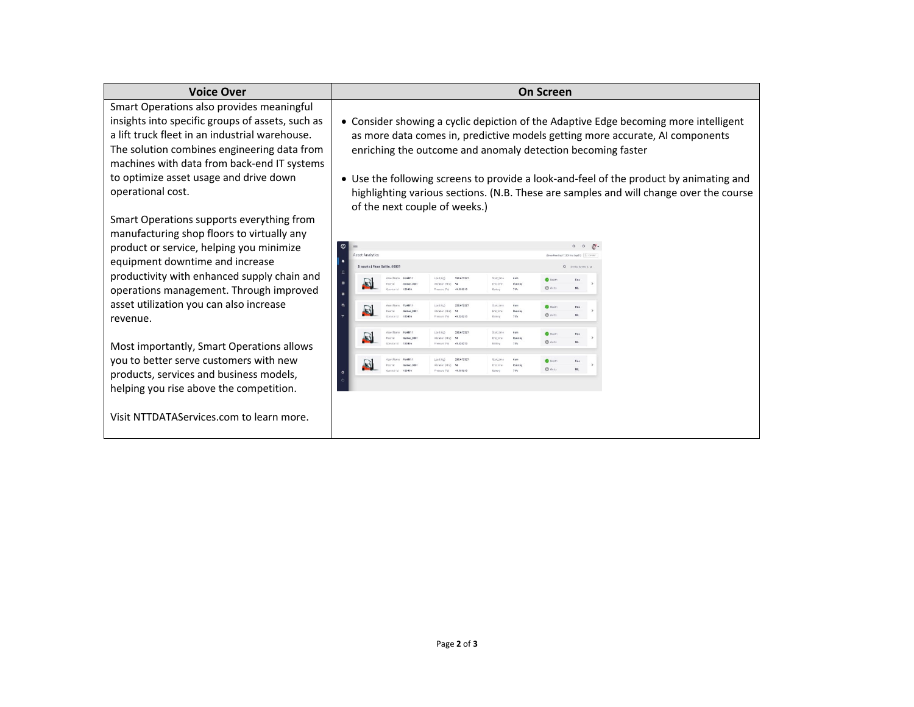| <b>Voice Over</b>                                                                                                                                                                                                                                                                                            | <b>On Screen</b>                                                                                                                                                                                                                                                                                                                                                                                                                                          |                                      |  |
|--------------------------------------------------------------------------------------------------------------------------------------------------------------------------------------------------------------------------------------------------------------------------------------------------------------|-----------------------------------------------------------------------------------------------------------------------------------------------------------------------------------------------------------------------------------------------------------------------------------------------------------------------------------------------------------------------------------------------------------------------------------------------------------|--------------------------------------|--|
| Smart Operations also provides meaningful<br>insights into specific groups of assets, such as<br>a lift truck fleet in an industrial warehouse.<br>The solution combines engineering data from<br>machines with data from back-end IT systems<br>to optimize asset usage and drive down<br>operational cost. | • Consider showing a cyclic depiction of the Adaptive Edge becoming more intelligent<br>as more data comes in, predictive models getting more accurate, AI components<br>enriching the outcome and anomaly detection becoming faster<br>• Use the following screens to provide a look-and-feel of the product by animating and<br>highlighting various sections. (N.B. These are samples and will change over the course<br>of the next couple of weeks.) |                                      |  |
| Smart Operations supports everything from<br>manufacturing shop floors to virtually any<br>product or service, helping you minimize<br>equipment downtime and increase<br>productivity with enhanced supply chain and<br>operations management. Through improved                                             | <b>Asset Analytics</b><br>5 assets   Floor Galilio_0000<br>nad (Ka)<br><b>Ingation (KHz)</b>                                                                                                                                                                                                                                                                                                                                                              | Sort By Barney N -<br><b>O</b> tiens |  |
| asset utilization you can also increase<br>revenue.                                                                                                                                                                                                                                                          |                                                                                                                                                                                                                                                                                                                                                                                                                                                           | <b>O</b> Alem<br>$Q$ Alen            |  |
| Most importantly, Smart Operations allows<br>you to better serve customers with new<br>products, services and business models,<br>helping you rise above the competition.<br>Visit NTTDATAServices.com to learn more.                                                                                        |                                                                                                                                                                                                                                                                                                                                                                                                                                                           | <b>Ca</b> Healt                      |  |